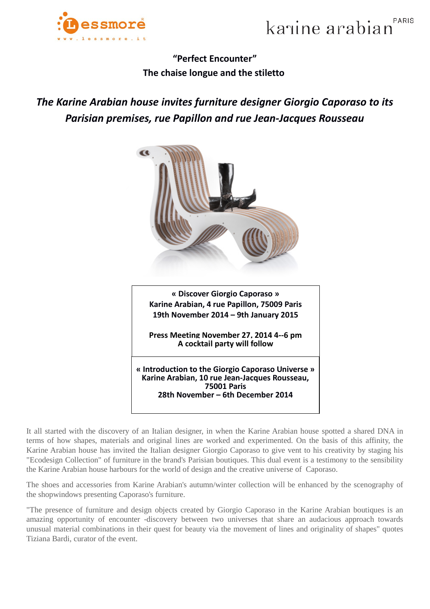



## **"Perfect Encounter" The chaise longue and the stiletto**

## *The Karine Arabian house invites furniture designer Giorgio Caporaso to its Parisian premises, rue Papillon and rue Jean-Jacques Rousseau*



It all started with the discovery of an Italian designer, in when the Karine Arabian house spotted a shared DNA in terms of how shapes, materials and original lines are worked and experimented. On the basis of this affinity, the Karine Arabian house has invited the Italian designer Giorgio Caporaso to give vent to his creativity by staging his "Ecodesign Collection" of furniture in the brand's Parisian boutiques. This dual event is a testimony to the sensibility the Karine Arabian house harbours for the world of design and the creative universe of Caporaso.

The shoes and accessories from Karine Arabian's autumn/winter collection will be enhanced by the scenography of the shopwindows presenting Caporaso's furniture.

"The presence of furniture and design objects created by Giorgio Caporaso in the Karine Arabian boutiques is an amazing opportunity of encounter -discovery between two universes that share an audacious approach towards unusual material combinations in their quest for beauty via the movement of lines and originality of shapes" quotes Tiziana Bardi, curator of the event.